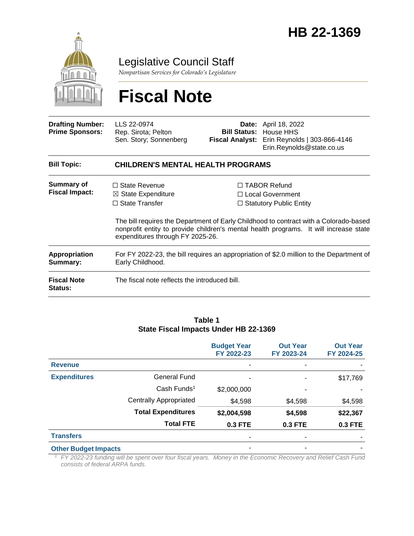

Legislative Council Staff

*Nonpartisan Services for Colorado's Legislature*

# **Fiscal Note**

| <b>Drafting Number:</b><br><b>Prime Sponsors:</b> | LLS 22-0974<br>Rep. Sirota; Pelton<br>Sen. Story; Sonnenberg                                                       |  | <b>Date:</b> April 18, 2022<br><b>Bill Status: House HHS</b><br>Fiscal Analyst: Erin Reynolds   303-866-4146<br>Erin.Reynolds@state.co.us                                                                                                                     |  |  |
|---------------------------------------------------|--------------------------------------------------------------------------------------------------------------------|--|---------------------------------------------------------------------------------------------------------------------------------------------------------------------------------------------------------------------------------------------------------------|--|--|
| <b>Bill Topic:</b>                                | <b>CHILDREN'S MENTAL HEALTH PROGRAMS</b>                                                                           |  |                                                                                                                                                                                                                                                               |  |  |
| <b>Summary of</b><br><b>Fiscal Impact:</b>        | $\Box$ State Revenue<br>$\boxtimes$ State Expenditure<br>$\Box$ State Transfer<br>expenditures through FY 2025-26. |  | $\Box$ TABOR Refund<br>□ Local Government<br>$\Box$ Statutory Public Entity<br>The bill requires the Department of Early Childhood to contract with a Colorado-based<br>nonprofit entity to provide children's mental health programs. It will increase state |  |  |
| Appropriation<br>Summary:                         | For FY 2022-23, the bill requires an appropriation of \$2.0 million to the Department of<br>Early Childhood.       |  |                                                                                                                                                                                                                                                               |  |  |
| <b>Fiscal Note</b><br><b>Status:</b>              | The fiscal note reflects the introduced bill.                                                                      |  |                                                                                                                                                                                                                                                               |  |  |

#### **Table 1 State Fiscal Impacts Under HB 22-1369**

|                             |                               | <b>Budget Year</b><br>FY 2022-23 | <b>Out Year</b><br>FY 2023-24 | <b>Out Year</b><br>FY 2024-25 |
|-----------------------------|-------------------------------|----------------------------------|-------------------------------|-------------------------------|
| <b>Revenue</b>              |                               |                                  |                               |                               |
| <b>Expenditures</b>         | <b>General Fund</b>           | ۰                                |                               | \$17,769                      |
|                             | Cash Funds <sup>1</sup>       | \$2,000,000                      | ۰                             |                               |
|                             | <b>Centrally Appropriated</b> | \$4,598                          | \$4,598                       | \$4,598                       |
|                             | <b>Total Expenditures</b>     | \$2,004,598                      | \$4,598                       | \$22,367                      |
|                             | <b>Total FTE</b>              | 0.3 FTE                          | <b>0.3 FTE</b>                | 0.3 FTE                       |
| <b>Transfers</b>            |                               |                                  |                               |                               |
| <b>Other Budget Impacts</b> |                               | ۰                                | ٠                             |                               |

*<sup>1</sup>FY 2022-23 funding will be spent over four fiscal years. Money in the Economic Recovery and Relief Cash Fund consists of federal ARPA funds.*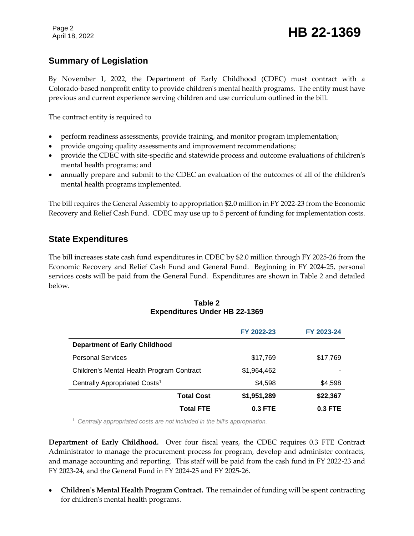Page 2

# Page 2<br>April 18, 2022 **HB 22-1369**

## **Summary of Legislation**

By November 1, 2022, the Department of Early Childhood (CDEC) must contract with a Colorado-based nonprofit entity to provide children's mental health programs. The entity must have previous and current experience serving children and use curriculum outlined in the bill.

The contract entity is required to

- perform readiness assessments, provide training, and monitor program implementation;
- provide ongoing quality assessments and improvement recommendations;
- provide the CDEC with site-specific and statewide process and outcome evaluations of children's mental health programs; and
- annually prepare and submit to the CDEC an evaluation of the outcomes of all of the children's mental health programs implemented.

The bill requires the General Assembly to appropriation \$2.0 million in FY 2022-23 from the Economic Recovery and Relief Cash Fund. CDEC may use up to 5 percent of funding for implementation costs.

### **State Expenditures**

The bill increases state cash fund expenditures in CDEC by \$2.0 million through FY 2025-26 from the Economic Recovery and Relief Cash Fund and General Fund. Beginning in FY 2024-25, personal services costs will be paid from the General Fund. Expenditures are shown in Table 2 and detailed below.

#### **Table 2 Expenditures Under HB 22-1369**

|                                           | FY 2022-23  | FY 2023-24 |
|-------------------------------------------|-------------|------------|
| <b>Department of Early Childhood</b>      |             |            |
| <b>Personal Services</b>                  | \$17,769    | \$17,769   |
| Children's Mental Health Program Contract | \$1.964.462 |            |
| Centrally Appropriated Costs <sup>1</sup> | \$4,598     | \$4,598    |
| <b>Total Cost</b>                         | \$1,951,289 | \$22,367   |
| <b>Total FTE</b>                          | 0.3 FTE     | $0.3$ FTE  |

<sup>1</sup> *Centrally appropriated costs are not included in the bill's appropriation.*

**Department of Early Childhood.** Over four fiscal years, the CDEC requires 0.3 FTE Contract Administrator to manage the procurement process for program, develop and administer contracts, and manage accounting and reporting. This staff will be paid from the cash fund in FY 2022-23 and FY 2023-24, and the General Fund in FY 2024-25 and FY 2025-26.

 **Children's Mental Health Program Contract.** The remainder of funding will be spent contracting for children's mental health programs.